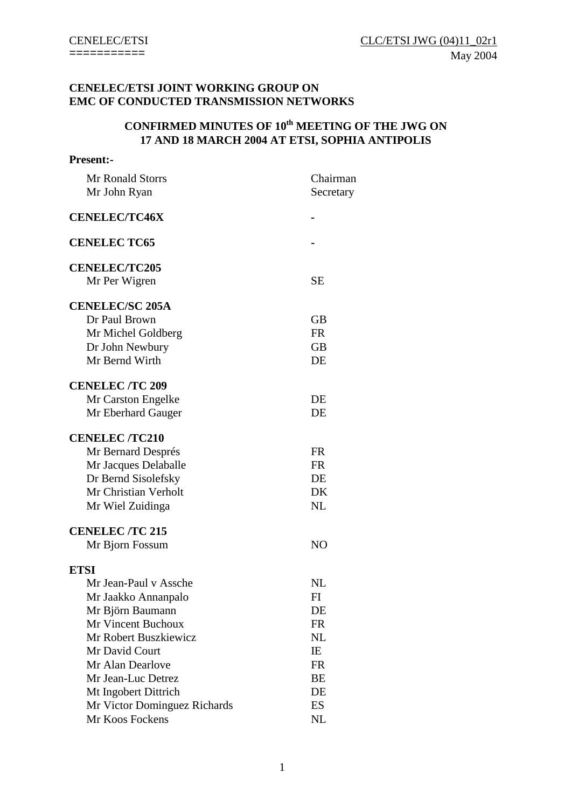## **CENELEC/ETSI JOINT WORKING GROUP ON EMC OF CONDUCTED TRANSMISSION NETWORKS**

# **CONFIRMED MINUTES OF 10<sup>th</sup> MEETING OF THE JWG ON 17 AND 18 MARCH 2004 AT ETSI, SOPHIA ANTIPOLIS**

| <b>Present:-</b>                        |                       |
|-----------------------------------------|-----------------------|
| <b>Mr Ronald Storrs</b><br>Mr John Ryan | Chairman<br>Secretary |
| <b>CENELEC/TC46X</b>                    |                       |
| <b>CENELEC TC65</b>                     |                       |
| <b>CENELEC/TC205</b>                    |                       |
| Mr Per Wigren                           | <b>SE</b>             |
| <b>CENELEC/SC 205A</b>                  |                       |
| Dr Paul Brown                           | <b>GB</b>             |
| Mr Michel Goldberg                      | <b>FR</b>             |
| Dr John Newbury                         | <b>GB</b>             |
| Mr Bernd Wirth                          | DE                    |
| <b>CENELEC/TC 209</b>                   |                       |
| Mr Carston Engelke                      | DE                    |
| Mr Eberhard Gauger                      | DE                    |
| <b>CENELEC /TC210</b>                   |                       |
| Mr Bernard Després                      | <b>FR</b>             |
| Mr Jacques Delaballe                    | <b>FR</b>             |
| Dr Bernd Sisolefsky                     | DE                    |
| Mr Christian Verholt                    | DK                    |
| Mr Wiel Zuidinga                        | <b>NL</b>             |
| <b>CENELEC/TC 215</b>                   |                       |
| Mr Bjorn Fossum                         | N <sub>O</sub>        |
| <b>ETSI</b>                             |                       |
| Mr Jean-Paul v Assche                   | $_{\rm NL}$           |
| Mr Jaakko Annanpalo                     | FI                    |
| Mr Björn Baumann                        | DE                    |
| Mr Vincent Buchoux                      | <b>FR</b>             |
| Mr Robert Buszkiewicz                   | NL                    |
| Mr David Court                          | IE                    |
| Mr Alan Dearlove                        | <b>FR</b>             |
| Mr Jean-Luc Detrez                      | BE                    |
| Mt Ingobert Dittrich                    | DE                    |
| Mr Victor Dominguez Richards            | ES                    |
| Mr Koos Fockens                         | NL                    |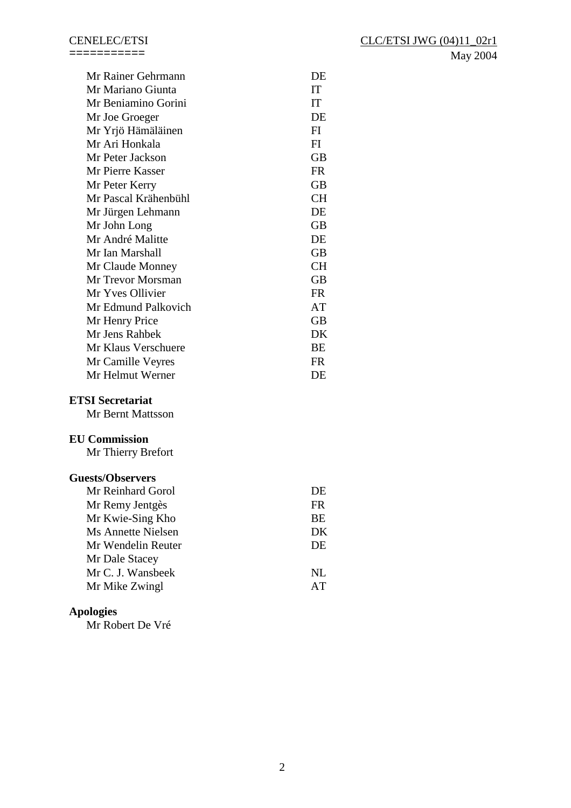=========== May 2004

| Mr Rainer Gehrmann   | DE        |
|----------------------|-----------|
| Mr Mariano Giunta    | IT        |
| Mr Beniamino Gorini  | IT        |
| Mr Joe Groeger       | DE        |
| Mr Yrjö Hämäläinen   | FI        |
| Mr Ari Honkala       | FI        |
| Mr Peter Jackson     | <b>GB</b> |
| Mr Pierre Kasser     | <b>FR</b> |
| Mr Peter Kerry       | <b>GB</b> |
| Mr Pascal Krähenbühl | <b>CH</b> |
| Mr Jürgen Lehmann    | DE        |
| Mr John Long         | <b>GB</b> |
| Mr André Malitte     | DE        |
| Mr Ian Marshall      | <b>GB</b> |
| Mr Claude Monney     | <b>CH</b> |
| Mr Trevor Morsman    | <b>GB</b> |
| Mr Yves Ollivier     | <b>FR</b> |
| Mr Edmund Palkovich  | AT        |
| Mr Henry Price       | <b>GB</b> |
| Mr Jens Rahbek       | DK        |
| Mr Klaus Verschuere  | BE        |
| Mr Camille Veyres    | <b>FR</b> |
| Mr Helmut Werner     | DE        |
| ומ דו∩ו              |           |

**ETSI Secretariat** 

Mr Bernt Mattsson

## **EU Commission**

Mr Thierry Brefort

## **Guests/Observers**

| Mr Reinhard Gorol  | DE        |
|--------------------|-----------|
| Mr Remy Jentgès    | FR.       |
| Mr Kwie-Sing Kho   | <b>BE</b> |
| Ms Annette Nielsen | DK        |
| Mr Wendelin Reuter | DE        |
| Mr Dale Stacey     |           |
| Mr C. J. Wansbeek  | NI.       |
| Mr Mike Zwingl     | AT        |

# **Apologies**

Mr Robert De Vré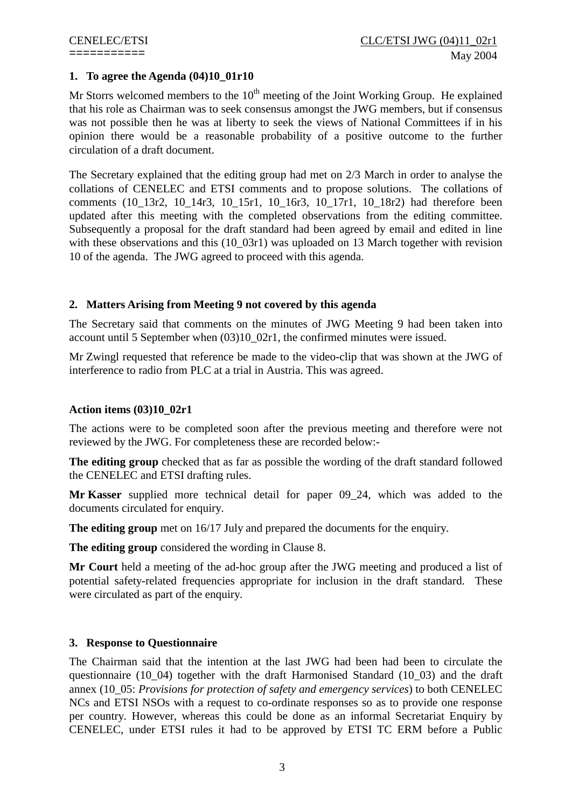## **1. To agree the Agenda (04)10\_01r10**

Mr Storrs welcomed members to the  $10<sup>th</sup>$  meeting of the Joint Working Group. He explained that his role as Chairman was to seek consensus amongst the JWG members, but if consensus was not possible then he was at liberty to seek the views of National Committees if in his opinion there would be a reasonable probability of a positive outcome to the further circulation of a draft document.

The Secretary explained that the editing group had met on 2/3 March in order to analyse the collations of CENELEC and ETSI comments and to propose solutions. The collations of comments (10\_13r2, 10\_14r3, 10\_15r1, 10\_16r3, 10\_17r1, 10\_18r2) had therefore been updated after this meeting with the completed observations from the editing committee. Subsequently a proposal for the draft standard had been agreed by email and edited in line with these observations and this (10\_03r1) was uploaded on 13 March together with revision 10 of the agenda. The JWG agreed to proceed with this agenda.

## **2. Matters Arising from Meeting 9 not covered by this agenda**

The Secretary said that comments on the minutes of JWG Meeting 9 had been taken into account until 5 September when (03)10\_02r1, the confirmed minutes were issued.

Mr Zwingl requested that reference be made to the video-clip that was shown at the JWG of interference to radio from PLC at a trial in Austria. This was agreed.

## **Action items (03)10\_02r1**

The actions were to be completed soon after the previous meeting and therefore were not reviewed by the JWG. For completeness these are recorded below:-

**The editing group** checked that as far as possible the wording of the draft standard followed the CENELEC and ETSI drafting rules.

**Mr Kasser** supplied more technical detail for paper 09\_24, which was added to the documents circulated for enquiry.

**The editing group** met on 16/17 July and prepared the documents for the enquiry.

**The editing group** considered the wording in Clause 8.

**Mr Court** held a meeting of the ad-hoc group after the JWG meeting and produced a list of potential safety-related frequencies appropriate for inclusion in the draft standard. These were circulated as part of the enquiry.

## **3. Response to Questionnaire**

The Chairman said that the intention at the last JWG had been had been to circulate the questionnaire (10\_04) together with the draft Harmonised Standard (10\_03) and the draft annex (10\_05: *Provisions for protection of safety and emergency services*) to both CENELEC NCs and ETSI NSOs with a request to co-ordinate responses so as to provide one response per country. However, whereas this could be done as an informal Secretariat Enquiry by CENELEC, under ETSI rules it had to be approved by ETSI TC ERM before a Public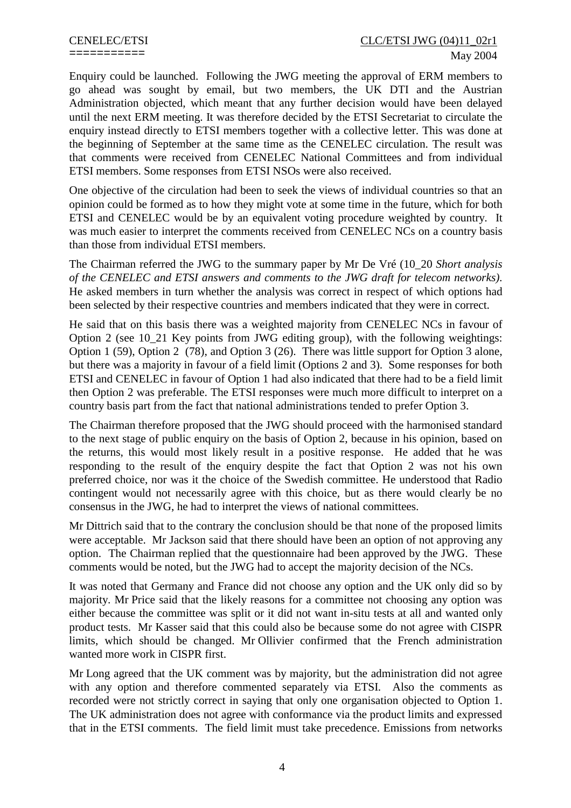Enquiry could be launched. Following the JWG meeting the approval of ERM members to go ahead was sought by email, but two members, the UK DTI and the Austrian Administration objected, which meant that any further decision would have been delayed until the next ERM meeting. It was therefore decided by the ETSI Secretariat to circulate the enquiry instead directly to ETSI members together with a collective letter. This was done at the beginning of September at the same time as the CENELEC circulation. The result was that comments were received from CENELEC National Committees and from individual ETSI members. Some responses from ETSI NSOs were also received.

One objective of the circulation had been to seek the views of individual countries so that an opinion could be formed as to how they might vote at some time in the future, which for both ETSI and CENELEC would be by an equivalent voting procedure weighted by country. It was much easier to interpret the comments received from CENELEC NCs on a country basis than those from individual ETSI members.

The Chairman referred the JWG to the summary paper by Mr De Vré (10\_20 *Short analysis of the CENELEC and ETSI answers and comments to the JWG draft for telecom networks)*. He asked members in turn whether the analysis was correct in respect of which options had been selected by their respective countries and members indicated that they were in correct.

He said that on this basis there was a weighted majority from CENELEC NCs in favour of Option 2 (see 10\_21 Key points from JWG editing group), with the following weightings: Option 1 (59), Option 2 (78), and Option 3 (26). There was little support for Option 3 alone, but there was a majority in favour of a field limit (Options 2 and 3). Some responses for both ETSI and CENELEC in favour of Option 1 had also indicated that there had to be a field limit then Option 2 was preferable. The ETSI responses were much more difficult to interpret on a country basis part from the fact that national administrations tended to prefer Option 3.

The Chairman therefore proposed that the JWG should proceed with the harmonised standard to the next stage of public enquiry on the basis of Option 2, because in his opinion, based on the returns, this would most likely result in a positive response. He added that he was responding to the result of the enquiry despite the fact that Option 2 was not his own preferred choice, nor was it the choice of the Swedish committee. He understood that Radio contingent would not necessarily agree with this choice, but as there would clearly be no consensus in the JWG, he had to interpret the views of national committees.

Mr Dittrich said that to the contrary the conclusion should be that none of the proposed limits were acceptable. Mr Jackson said that there should have been an option of not approving any option. The Chairman replied that the questionnaire had been approved by the JWG. These comments would be noted, but the JWG had to accept the majority decision of the NCs.

It was noted that Germany and France did not choose any option and the UK only did so by majority. Mr Price said that the likely reasons for a committee not choosing any option was either because the committee was split or it did not want in-situ tests at all and wanted only product tests. Mr Kasser said that this could also be because some do not agree with CISPR limits, which should be changed. Mr Ollivier confirmed that the French administration wanted more work in CISPR first.

Mr Long agreed that the UK comment was by majority, but the administration did not agree with any option and therefore commented separately via ETSI. Also the comments as recorded were not strictly correct in saying that only one organisation objected to Option 1. The UK administration does not agree with conformance via the product limits and expressed that in the ETSI comments. The field limit must take precedence. Emissions from networks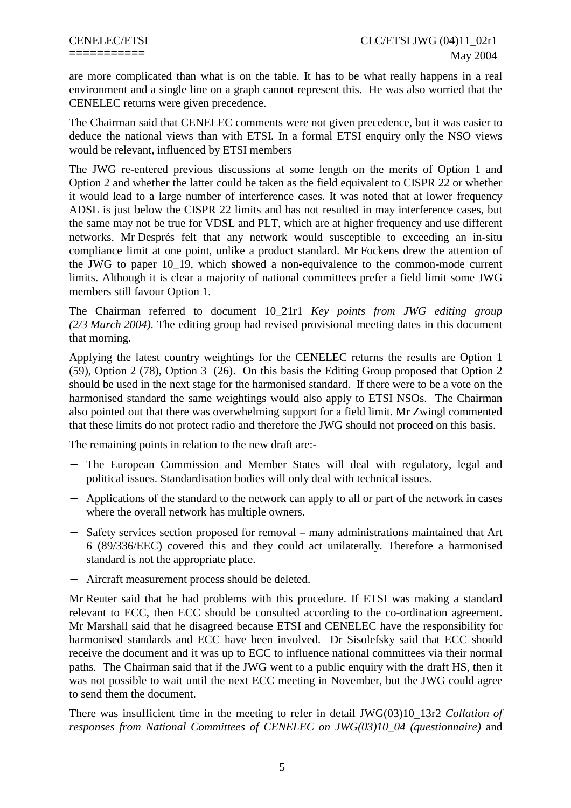are more complicated than what is on the table. It has to be what really happens in a real environment and a single line on a graph cannot represent this. He was also worried that the CENELEC returns were given precedence.

The Chairman said that CENELEC comments were not given precedence, but it was easier to deduce the national views than with ETSI. In a formal ETSI enquiry only the NSO views would be relevant, influenced by ETSI members

The JWG re-entered previous discussions at some length on the merits of Option 1 and Option 2 and whether the latter could be taken as the field equivalent to CISPR 22 or whether it would lead to a large number of interference cases. It was noted that at lower frequency ADSL is just below the CISPR 22 limits and has not resulted in may interference cases, but the same may not be true for VDSL and PLT, which are at higher frequency and use different networks. Mr Després felt that any network would susceptible to exceeding an in-situ compliance limit at one point, unlike a product standard. Mr Fockens drew the attention of the JWG to paper 10\_19, which showed a non-equivalence to the common-mode current limits. Although it is clear a majority of national committees prefer a field limit some JWG members still favour Option 1.

The Chairman referred to document 10\_21r1 *Key points from JWG editing group (2/3 March 2004)*. The editing group had revised provisional meeting dates in this document that morning.

Applying the latest country weightings for the CENELEC returns the results are Option 1 (59), Option 2 (78), Option 3 (26). On this basis the Editing Group proposed that Option 2 should be used in the next stage for the harmonised standard. If there were to be a vote on the harmonised standard the same weightings would also apply to ETSI NSOs. The Chairman also pointed out that there was overwhelming support for a field limit. Mr Zwingl commented that these limits do not protect radio and therefore the JWG should not proceed on this basis.

The remaining points in relation to the new draft are:-

- − The European Commission and Member States will deal with regulatory, legal and political issues. Standardisation bodies will only deal with technical issues.
- − Applications of the standard to the network can apply to all or part of the network in cases where the overall network has multiple owners.
- − Safety services section proposed for removal many administrations maintained that Art 6 (89/336/EEC) covered this and they could act unilaterally. Therefore a harmonised standard is not the appropriate place.
- Aircraft measurement process should be deleted.

Mr Reuter said that he had problems with this procedure. If ETSI was making a standard relevant to ECC, then ECC should be consulted according to the co-ordination agreement. Mr Marshall said that he disagreed because ETSI and CENELEC have the responsibility for harmonised standards and ECC have been involved. Dr Sisolefsky said that ECC should receive the document and it was up to ECC to influence national committees via their normal paths. The Chairman said that if the JWG went to a public enquiry with the draft HS, then it was not possible to wait until the next ECC meeting in November, but the JWG could agree to send them the document.

There was insufficient time in the meeting to refer in detail JWG(03)10\_13r2 *Collation of responses from National Committees of CENELEC on JWG(03)10\_04 (questionnaire)* and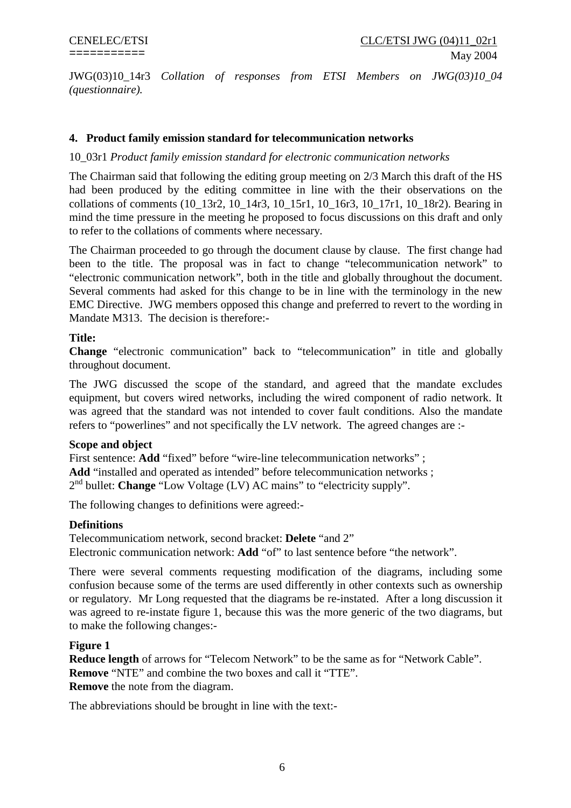JWG(03)10\_14r3 *Collation of responses from ETSI Members on JWG(03)10\_04 (questionnaire).*

## **4. Product family emission standard for telecommunication networks**

## 10\_03r1 *Product family emission standard for electronic communication networks*

The Chairman said that following the editing group meeting on 2/3 March this draft of the HS had been produced by the editing committee in line with the their observations on the collations of comments (10\_13r2, 10\_14r3, 10\_15r1, 10\_16r3, 10\_17r1, 10\_18r2). Bearing in mind the time pressure in the meeting he proposed to focus discussions on this draft and only to refer to the collations of comments where necessary.

The Chairman proceeded to go through the document clause by clause. The first change had been to the title. The proposal was in fact to change "telecommunication network" to "electronic communication network", both in the title and globally throughout the document. Several comments had asked for this change to be in line with the terminology in the new EMC Directive. JWG members opposed this change and preferred to revert to the wording in Mandate M313. The decision is therefore:-

## **Title:**

**Change** "electronic communication" back to "telecommunication" in title and globally throughout document.

The JWG discussed the scope of the standard, and agreed that the mandate excludes equipment, but covers wired networks, including the wired component of radio network. It was agreed that the standard was not intended to cover fault conditions. Also the mandate refers to "powerlines" and not specifically the LV network. The agreed changes are :-

## **Scope and object**

First sentence: Add "fixed" before "wire-line telecommunication networks"; Add "installed and operated as intended" before telecommunication networks; 2nd bullet: **Change** "Low Voltage (LV) AC mains" to "electricity supply".

The following changes to definitions were agreed:-

## **Definitions**

Telecommunicatiom network, second bracket: **Delete** "and 2" Electronic communication network: **Add** "of" to last sentence before "the network".

There were several comments requesting modification of the diagrams, including some confusion because some of the terms are used differently in other contexts such as ownership or regulatory. Mr Long requested that the diagrams be re-instated. After a long discussion it was agreed to re-instate figure 1, because this was the more generic of the two diagrams, but to make the following changes:-

## **Figure 1**

**Reduce length** of arrows for "Telecom Network" to be the same as for "Network Cable". **Remove** "NTE" and combine the two boxes and call it "TTE". **Remove** the note from the diagram.

The abbreviations should be brought in line with the text:-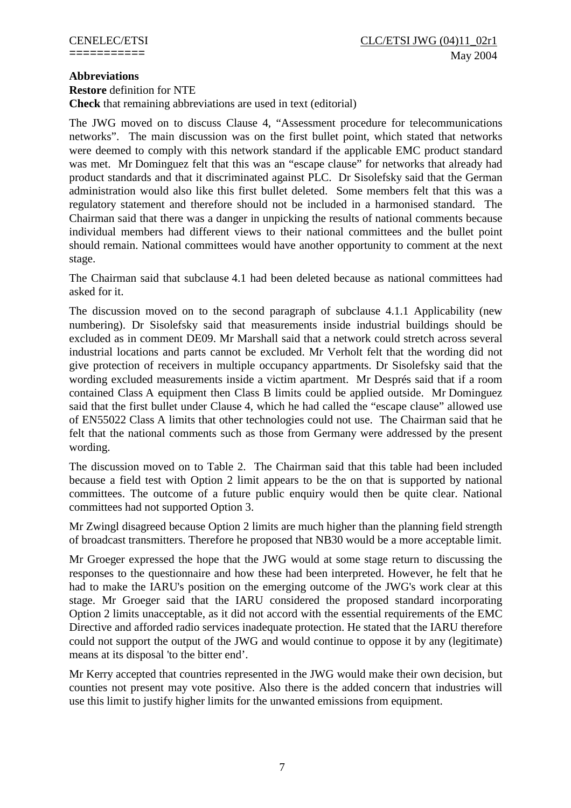## **Abbreviations**

**Restore** definition for NTE

**Check** that remaining abbreviations are used in text (editorial)

The JWG moved on to discuss Clause 4, "Assessment procedure for telecommunications networks". The main discussion was on the first bullet point, which stated that networks were deemed to comply with this network standard if the applicable EMC product standard was met. Mr Dominguez felt that this was an "escape clause" for networks that already had product standards and that it discriminated against PLC. Dr Sisolefsky said that the German administration would also like this first bullet deleted. Some members felt that this was a regulatory statement and therefore should not be included in a harmonised standard. The Chairman said that there was a danger in unpicking the results of national comments because individual members had different views to their national committees and the bullet point should remain. National committees would have another opportunity to comment at the next stage.

The Chairman said that subclause 4.1 had been deleted because as national committees had asked for it.

The discussion moved on to the second paragraph of subclause 4.1.1 Applicability (new numbering). Dr Sisolefsky said that measurements inside industrial buildings should be excluded as in comment DE09. Mr Marshall said that a network could stretch across several industrial locations and parts cannot be excluded. Mr Verholt felt that the wording did not give protection of receivers in multiple occupancy appartments. Dr Sisolefsky said that the wording excluded measurements inside a victim apartment. Mr Després said that if a room contained Class A equipment then Class B limits could be applied outside. Mr Dominguez said that the first bullet under Clause 4, which he had called the "escape clause" allowed use of EN55022 Class A limits that other technologies could not use. The Chairman said that he felt that the national comments such as those from Germany were addressed by the present wording.

The discussion moved on to Table 2. The Chairman said that this table had been included because a field test with Option 2 limit appears to be the on that is supported by national committees. The outcome of a future public enquiry would then be quite clear. National committees had not supported Option 3.

Mr Zwingl disagreed because Option 2 limits are much higher than the planning field strength of broadcast transmitters. Therefore he proposed that NB30 would be a more acceptable limit.

Mr Groeger expressed the hope that the JWG would at some stage return to discussing the responses to the questionnaire and how these had been interpreted. However, he felt that he had to make the IARU's position on the emerging outcome of the JWG's work clear at this stage. Mr Groeger said that the IARU considered the proposed standard incorporating Option 2 limits unacceptable, as it did not accord with the essential requirements of the EMC Directive and afforded radio services inadequate protection. He stated that the IARU therefore could not support the output of the JWG and would continue to oppose it by any (legitimate) means at its disposal 'to the bitter end'.

Mr Kerry accepted that countries represented in the JWG would make their own decision, but counties not present may vote positive. Also there is the added concern that industries will use this limit to justify higher limits for the unwanted emissions from equipment.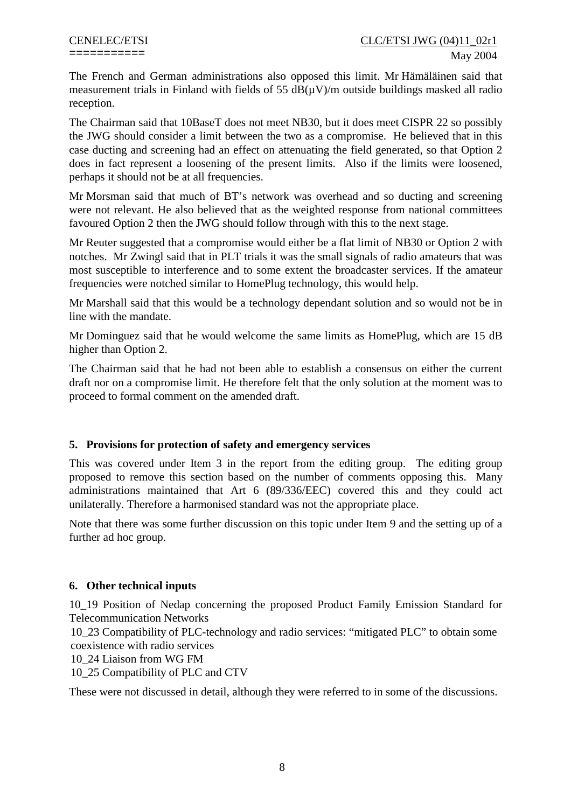The French and German administrations also opposed this limit. Mr Hämäläinen said that measurement trials in Finland with fields of 55  $dB(uV)/m$  outside buildings masked all radio reception.

The Chairman said that 10BaseT does not meet NB30, but it does meet CISPR 22 so possibly the JWG should consider a limit between the two as a compromise. He believed that in this case ducting and screening had an effect on attenuating the field generated, so that Option 2 does in fact represent a loosening of the present limits. Also if the limits were loosened, perhaps it should not be at all frequencies.

Mr Morsman said that much of BT's network was overhead and so ducting and screening were not relevant. He also believed that as the weighted response from national committees favoured Option 2 then the JWG should follow through with this to the next stage.

Mr Reuter suggested that a compromise would either be a flat limit of NB30 or Option 2 with notches. Mr Zwingl said that in PLT trials it was the small signals of radio amateurs that was most susceptible to interference and to some extent the broadcaster services. If the amateur frequencies were notched similar to HomePlug technology, this would help.

Mr Marshall said that this would be a technology dependant solution and so would not be in line with the mandate.

Mr Dominguez said that he would welcome the same limits as HomePlug, which are 15 dB higher than Option 2.

The Chairman said that he had not been able to establish a consensus on either the current draft nor on a compromise limit. He therefore felt that the only solution at the moment was to proceed to formal comment on the amended draft.

## **5. Provisions for protection of safety and emergency services**

This was covered under Item 3 in the report from the editing group. The editing group proposed to remove this section based on the number of comments opposing this. Many administrations maintained that Art 6 (89/336/EEC) covered this and they could act unilaterally. Therefore a harmonised standard was not the appropriate place.

Note that there was some further discussion on this topic under Item 9 and the setting up of a further ad hoc group.

## **6. Other technical inputs**

10\_19 Position of Nedap concerning the proposed Product Family Emission Standard for Telecommunication Networks

10\_23 Compatibility of PLC-technology and radio services: "mitigated PLC" to obtain some coexistence with radio services

10\_24 Liaison from WG FM

10\_25 Compatibility of PLC and CTV

These were not discussed in detail, although they were referred to in some of the discussions.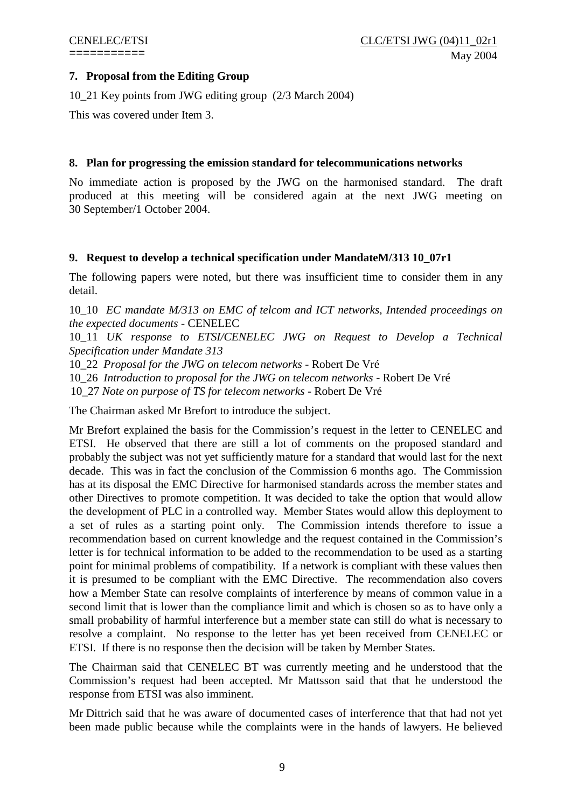## **7. Proposal from the Editing Group**

10\_21 Key points from JWG editing group (2/3 March 2004)

This was covered under Item 3.

## **8. Plan for progressing the emission standard for telecommunications networks**

No immediate action is proposed by the JWG on the harmonised standard. The draft produced at this meeting will be considered again at the next JWG meeting on 30 September/1 October 2004.

## **9. Request to develop a technical specification under MandateM/313 10\_07r1**

The following papers were noted, but there was insufficient time to consider them in any detail.

10\_10 *EC mandate M/313 on EMC of telcom and ICT networks, Intended proceedings on the expected documents* - CENELEC

10\_11 *UK response to ETSI/CENELEC JWG on Request to Develop a Technical Specification under Mandate 313*

10\_22 *Proposal for the JWG on telecom networks* - Robert De Vré

10\_26 *Introduction to proposal for the JWG on telecom networks* - Robert De Vré

10\_27 *Note on purpose of TS for telecom networks* - Robert De Vré

The Chairman asked Mr Brefort to introduce the subject.

Mr Brefort explained the basis for the Commission's request in the letter to CENELEC and ETSI. He observed that there are still a lot of comments on the proposed standard and probably the subject was not yet sufficiently mature for a standard that would last for the next decade. This was in fact the conclusion of the Commission 6 months ago. The Commission has at its disposal the EMC Directive for harmonised standards across the member states and other Directives to promote competition. It was decided to take the option that would allow the development of PLC in a controlled way. Member States would allow this deployment to a set of rules as a starting point only. The Commission intends therefore to issue a recommendation based on current knowledge and the request contained in the Commission's letter is for technical information to be added to the recommendation to be used as a starting point for minimal problems of compatibility. If a network is compliant with these values then it is presumed to be compliant with the EMC Directive. The recommendation also covers how a Member State can resolve complaints of interference by means of common value in a second limit that is lower than the compliance limit and which is chosen so as to have only a small probability of harmful interference but a member state can still do what is necessary to resolve a complaint. No response to the letter has yet been received from CENELEC or ETSI. If there is no response then the decision will be taken by Member States.

The Chairman said that CENELEC BT was currently meeting and he understood that the Commission's request had been accepted. Mr Mattsson said that that he understood the response from ETSI was also imminent.

Mr Dittrich said that he was aware of documented cases of interference that that had not yet been made public because while the complaints were in the hands of lawyers. He believed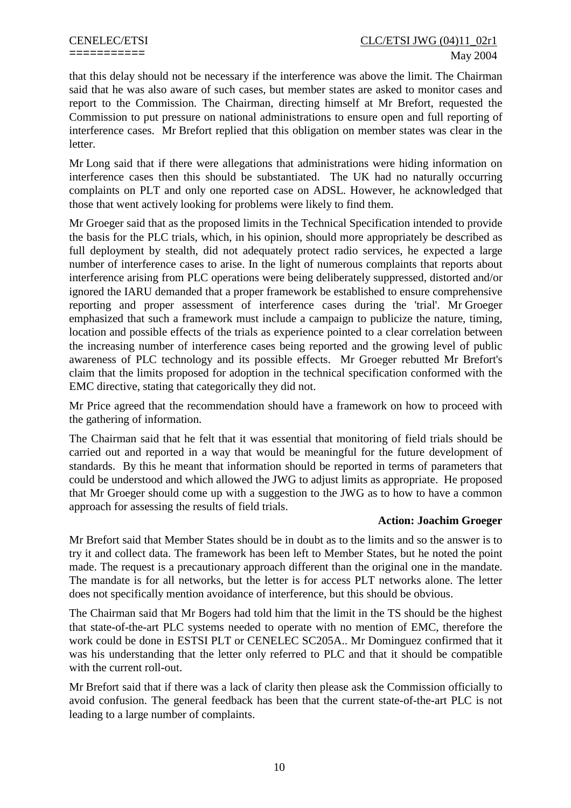that this delay should not be necessary if the interference was above the limit. The Chairman said that he was also aware of such cases, but member states are asked to monitor cases and report to the Commission. The Chairman, directing himself at Mr Brefort, requested the Commission to put pressure on national administrations to ensure open and full reporting of interference cases. Mr Brefort replied that this obligation on member states was clear in the letter.

Mr Long said that if there were allegations that administrations were hiding information on interference cases then this should be substantiated. The UK had no naturally occurring complaints on PLT and only one reported case on ADSL. However, he acknowledged that those that went actively looking for problems were likely to find them.

Mr Groeger said that as the proposed limits in the Technical Specification intended to provide the basis for the PLC trials, which, in his opinion, should more appropriately be described as full deployment by stealth, did not adequately protect radio services, he expected a large number of interference cases to arise. In the light of numerous complaints that reports about interference arising from PLC operations were being deliberately suppressed, distorted and/or ignored the IARU demanded that a proper framework be established to ensure comprehensive reporting and proper assessment of interference cases during the 'trial'. Mr Groeger emphasized that such a framework must include a campaign to publicize the nature, timing, location and possible effects of the trials as experience pointed to a clear correlation between the increasing number of interference cases being reported and the growing level of public awareness of PLC technology and its possible effects. Mr Groeger rebutted Mr Brefort's claim that the limits proposed for adoption in the technical specification conformed with the EMC directive, stating that categorically they did not.

Mr Price agreed that the recommendation should have a framework on how to proceed with the gathering of information.

The Chairman said that he felt that it was essential that monitoring of field trials should be carried out and reported in a way that would be meaningful for the future development of standards. By this he meant that information should be reported in terms of parameters that could be understood and which allowed the JWG to adjust limits as appropriate. He proposed that Mr Groeger should come up with a suggestion to the JWG as to how to have a common approach for assessing the results of field trials.

## **Action: Joachim Groeger**

Mr Brefort said that Member States should be in doubt as to the limits and so the answer is to try it and collect data. The framework has been left to Member States, but he noted the point made. The request is a precautionary approach different than the original one in the mandate. The mandate is for all networks, but the letter is for access PLT networks alone. The letter does not specifically mention avoidance of interference, but this should be obvious.

The Chairman said that Mr Bogers had told him that the limit in the TS should be the highest that state-of-the-art PLC systems needed to operate with no mention of EMC, therefore the work could be done in ESTSI PLT or CENELEC SC205A.. Mr Dominguez confirmed that it was his understanding that the letter only referred to PLC and that it should be compatible with the current roll-out.

Mr Brefort said that if there was a lack of clarity then please ask the Commission officially to avoid confusion. The general feedback has been that the current state-of-the-art PLC is not leading to a large number of complaints.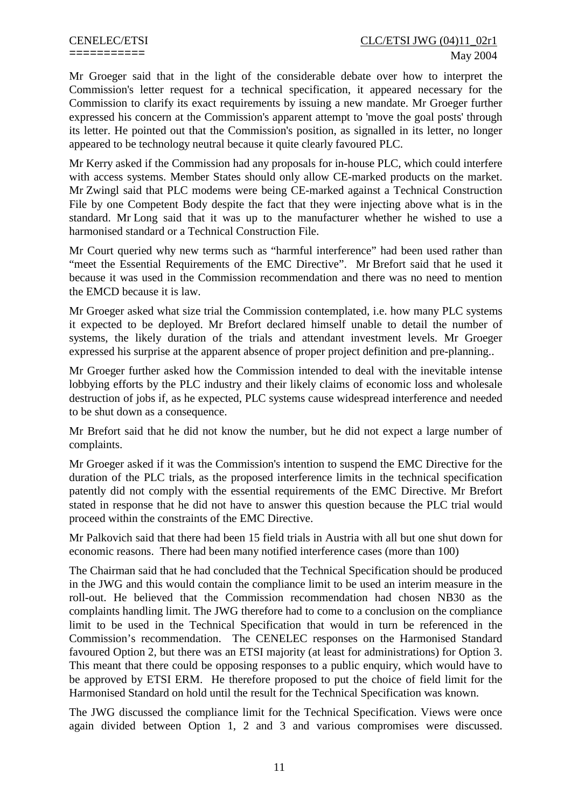Mr Groeger said that in the light of the considerable debate over how to interpret the Commission's letter request for a technical specification, it appeared necessary for the Commission to clarify its exact requirements by issuing a new mandate. Mr Groeger further expressed his concern at the Commission's apparent attempt to 'move the goal posts' through its letter. He pointed out that the Commission's position, as signalled in its letter, no longer appeared to be technology neutral because it quite clearly favoured PLC.

Mr Kerry asked if the Commission had any proposals for in-house PLC, which could interfere with access systems. Member States should only allow CE-marked products on the market. Mr Zwingl said that PLC modems were being CE-marked against a Technical Construction File by one Competent Body despite the fact that they were injecting above what is in the standard. Mr Long said that it was up to the manufacturer whether he wished to use a harmonised standard or a Technical Construction File.

Mr Court queried why new terms such as "harmful interference" had been used rather than "meet the Essential Requirements of the EMC Directive". Mr Brefort said that he used it because it was used in the Commission recommendation and there was no need to mention the EMCD because it is law.

Mr Groeger asked what size trial the Commission contemplated, i.e. how many PLC systems it expected to be deployed. Mr Brefort declared himself unable to detail the number of systems, the likely duration of the trials and attendant investment levels. Mr Groeger expressed his surprise at the apparent absence of proper project definition and pre-planning..

Mr Groeger further asked how the Commission intended to deal with the inevitable intense lobbying efforts by the PLC industry and their likely claims of economic loss and wholesale destruction of jobs if, as he expected, PLC systems cause widespread interference and needed to be shut down as a consequence.

Mr Brefort said that he did not know the number, but he did not expect a large number of complaints.

Mr Groeger asked if it was the Commission's intention to suspend the EMC Directive for the duration of the PLC trials, as the proposed interference limits in the technical specification patently did not comply with the essential requirements of the EMC Directive. Mr Brefort stated in response that he did not have to answer this question because the PLC trial would proceed within the constraints of the EMC Directive.

Mr Palkovich said that there had been 15 field trials in Austria with all but one shut down for economic reasons. There had been many notified interference cases (more than 100)

The Chairman said that he had concluded that the Technical Specification should be produced in the JWG and this would contain the compliance limit to be used an interim measure in the roll-out. He believed that the Commission recommendation had chosen NB30 as the complaints handling limit. The JWG therefore had to come to a conclusion on the compliance limit to be used in the Technical Specification that would in turn be referenced in the Commission's recommendation. The CENELEC responses on the Harmonised Standard favoured Option 2, but there was an ETSI majority (at least for administrations) for Option 3. This meant that there could be opposing responses to a public enquiry, which would have to be approved by ETSI ERM. He therefore proposed to put the choice of field limit for the Harmonised Standard on hold until the result for the Technical Specification was known.

The JWG discussed the compliance limit for the Technical Specification. Views were once again divided between Option 1, 2 and 3 and various compromises were discussed.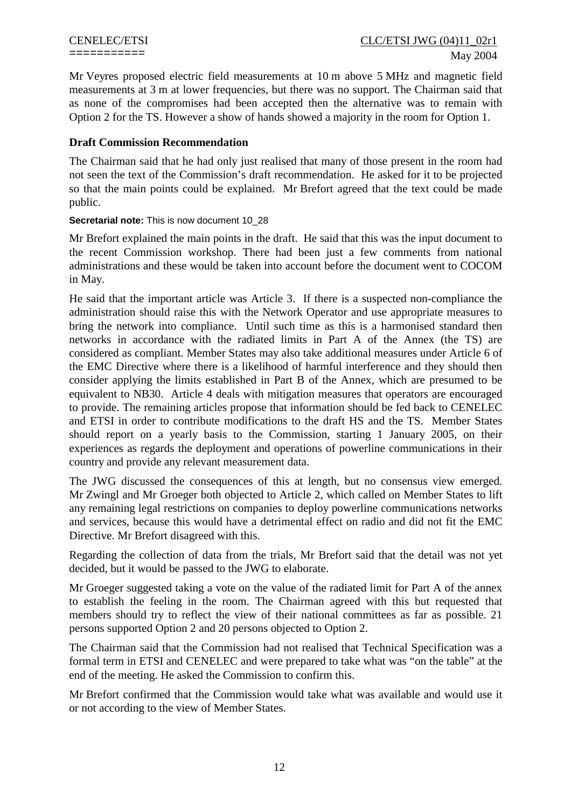Mr Veyres proposed electric field measurements at 10 m above 5 MHz and magnetic field measurements at 3 m at lower frequencies, but there was no support. The Chairman said that as none of the compromises had been accepted then the alternative was to remain with Option 2 for the TS. However a show of hands showed a majority in the room for Option 1.

## **Draft Commission Recommendation**

The Chairman said that he had only just realised that many of those present in the room had not seen the text of the Commission's draft recommendation. He asked for it to be projected so that the main points could be explained. Mr Brefort agreed that the text could be made public.

## **Secretarial note:** This is now document 10\_28

Mr Brefort explained the main points in the draft. He said that this was the input document to the recent Commission workshop. There had been just a few comments from national administrations and these would be taken into account before the document went to COCOM in May.

He said that the important article was Article 3. If there is a suspected non-compliance the administration should raise this with the Network Operator and use appropriate measures to bring the network into compliance. Until such time as this is a harmonised standard then networks in accordance with the radiated limits in Part A of the Annex (the TS) are considered as compliant. Member States may also take additional measures under Article 6 of the EMC Directive where there is a likelihood of harmful interference and they should then consider applying the limits established in Part B of the Annex, which are presumed to be equivalent to NB30. Article 4 deals with mitigation measures that operators are encouraged to provide. The remaining articles propose that information should be fed back to CENELEC and ETSI in order to contribute modifications to the draft HS and the TS. Member States should report on a yearly basis to the Commission, starting 1 January 2005, on their experiences as regards the deployment and operations of powerline communications in their country and provide any relevant measurement data.

The JWG discussed the consequences of this at length, but no consensus view emerged. Mr Zwingl and Mr Groeger both objected to Article 2, which called on Member States to lift any remaining legal restrictions on companies to deploy powerline communications networks and services, because this would have a detrimental effect on radio and did not fit the EMC Directive. Mr Brefort disagreed with this.

Regarding the collection of data from the trials, Mr Brefort said that the detail was not yet decided, but it would be passed to the JWG to elaborate.

Mr Groeger suggested taking a vote on the value of the radiated limit for Part A of the annex to establish the feeling in the room. The Chairman agreed with this but requested that members should try to reflect the view of their national committees as far as possible. 21 persons supported Option 2 and 20 persons objected to Option 2.

The Chairman said that the Commission had not realised that Technical Specification was a formal term in ETSI and CENELEC and were prepared to take what was "on the table" at the end of the meeting. He asked the Commission to confirm this.

Mr Brefort confirmed that the Commission would take what was available and would use it or not according to the view of Member States.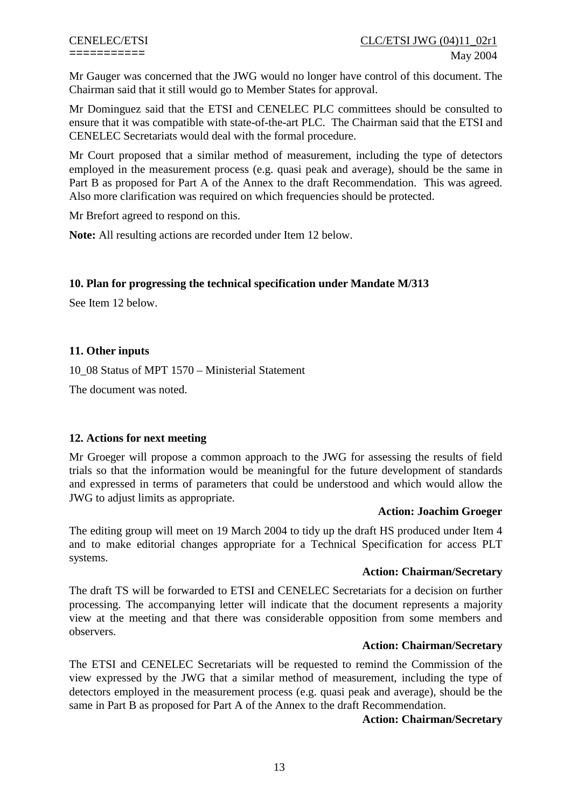Mr Gauger was concerned that the JWG would no longer have control of this document. The Chairman said that it still would go to Member States for approval.

Mr Dominguez said that the ETSI and CENELEC PLC committees should be consulted to ensure that it was compatible with state-of-the-art PLC. The Chairman said that the ETSI and CENELEC Secretariats would deal with the formal procedure.

Mr Court proposed that a similar method of measurement, including the type of detectors employed in the measurement process (e.g. quasi peak and average), should be the same in Part B as proposed for Part A of the Annex to the draft Recommendation. This was agreed. Also more clarification was required on which frequencies should be protected.

Mr Brefort agreed to respond on this.

**Note:** All resulting actions are recorded under Item 12 below.

## **10. Plan for progressing the technical specification under Mandate M/313**

See Item 12 below.

## **11. Other inputs**

10\_08 Status of MPT 1570 – Ministerial Statement

The document was noted.

## **12. Actions for next meeting**

Mr Groeger will propose a common approach to the JWG for assessing the results of field trials so that the information would be meaningful for the future development of standards and expressed in terms of parameters that could be understood and which would allow the JWG to adjust limits as appropriate.

#### **Action: Joachim Groeger**

The editing group will meet on 19 March 2004 to tidy up the draft HS produced under Item 4 and to make editorial changes appropriate for a Technical Specification for access PLT systems.

#### **Action: Chairman/Secretary**

The draft TS will be forwarded to ETSI and CENELEC Secretariats for a decision on further processing. The accompanying letter will indicate that the document represents a majority view at the meeting and that there was considerable opposition from some members and observers.

#### **Action: Chairman/Secretary**

The ETSI and CENELEC Secretariats will be requested to remind the Commission of the view expressed by the JWG that a similar method of measurement, including the type of detectors employed in the measurement process (e.g. quasi peak and average), should be the same in Part B as proposed for Part A of the Annex to the draft Recommendation.

#### **Action: Chairman/Secretary**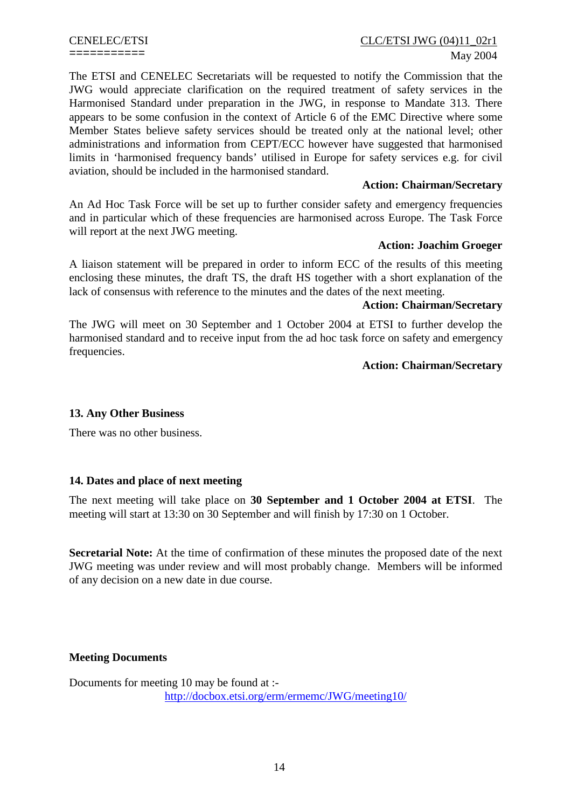# CENELEC/ETSI CLC/ETSI JWG (04)11\_02r1 =========== May 2004

The ETSI and CENELEC Secretariats will be requested to notify the Commission that the JWG would appreciate clarification on the required treatment of safety services in the Harmonised Standard under preparation in the JWG, in response to Mandate 313. There appears to be some confusion in the context of Article 6 of the EMC Directive where some Member States believe safety services should be treated only at the national level; other administrations and information from CEPT/ECC however have suggested that harmonised limits in 'harmonised frequency bands' utilised in Europe for safety services e.g. for civil aviation, should be included in the harmonised standard.

## **Action: Chairman/Secretary**

An Ad Hoc Task Force will be set up to further consider safety and emergency frequencies and in particular which of these frequencies are harmonised across Europe. The Task Force will report at the next JWG meeting.

## **Action: Joachim Groeger**

A liaison statement will be prepared in order to inform ECC of the results of this meeting enclosing these minutes, the draft TS, the draft HS together with a short explanation of the lack of consensus with reference to the minutes and the dates of the next meeting.

## **Action: Chairman/Secretary**

The JWG will meet on 30 September and 1 October 2004 at ETSI to further develop the harmonised standard and to receive input from the ad hoc task force on safety and emergency frequencies.

## **Action: Chairman/Secretary**

## **13. Any Other Business**

There was no other business.

## **14. Dates and place of next meeting**

The next meeting will take place on **30 September and 1 October 2004 at ETSI**. The meeting will start at 13:30 on 30 September and will finish by 17:30 on 1 October.

**Secretarial Note:** At the time of confirmation of these minutes the proposed date of the next JWG meeting was under review and will most probably change. Members will be informed of any decision on a new date in due course.

## **Meeting Documents**

Documents for meeting 10 may be found at : <http://docbox.etsi.org/erm/ermemc/JWG/meeting10/>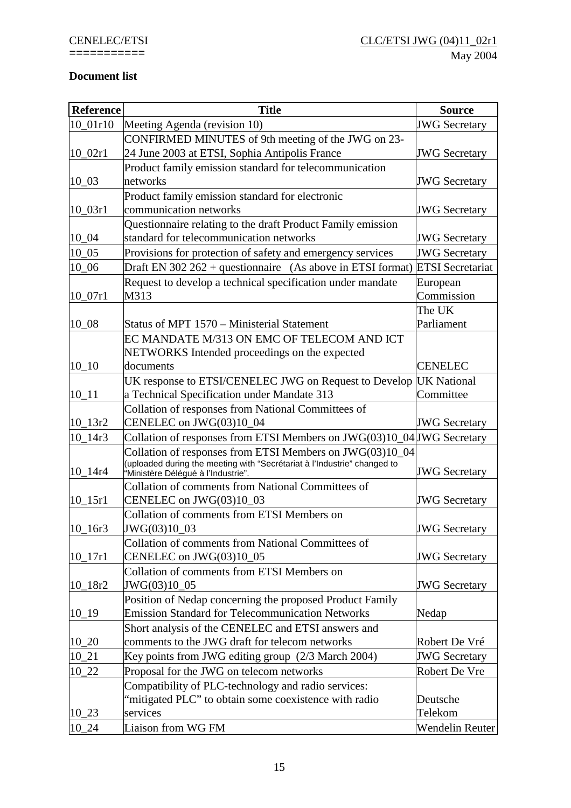## **Document list**

| <b>Reference</b>      | <b>Title</b>                                                                                                                         | <b>Source</b>           |
|-----------------------|--------------------------------------------------------------------------------------------------------------------------------------|-------------------------|
| $10_01r10$            | Meeting Agenda (revision 10)                                                                                                         | <b>JWG</b> Secretary    |
|                       | CONFIRMED MINUTES of 9th meeting of the JWG on 23-                                                                                   |                         |
| $10_02r1$             | 24 June 2003 at ETSI, Sophia Antipolis France                                                                                        | <b>JWG</b> Secretary    |
|                       | Product family emission standard for telecommunication                                                                               |                         |
| $10_{-03}$            | networks                                                                                                                             | <b>JWG</b> Secretary    |
|                       | Product family emission standard for electronic                                                                                      |                         |
| $10_03r1$             | communication networks                                                                                                               | <b>JWG</b> Secretary    |
|                       | Questionnaire relating to the draft Product Family emission                                                                          |                         |
| $10_04$               | standard for telecommunication networks                                                                                              | <b>JWG</b> Secretary    |
| 10 05                 | Provisions for protection of safety and emergency services                                                                           | <b>JWG</b> Secretary    |
| $10_06$               | Draft EN 302 262 + questionnaire (As above in ETSI format)                                                                           | <b>ETSI</b> Secretariat |
|                       | Request to develop a technical specification under mandate                                                                           | European                |
| $10_07r1$             | M313                                                                                                                                 | Commission              |
|                       |                                                                                                                                      | The UK                  |
| $10_08$               | Status of MPT 1570 – Ministerial Statement                                                                                           | Parliament              |
|                       | EC MANDATE M/313 ON EMC OF TELECOM AND ICT                                                                                           |                         |
|                       | NETWORKS Intended proceedings on the expected                                                                                        |                         |
| $10 - 10$             | documents                                                                                                                            | <b>CENELEC</b>          |
|                       | UK response to ETSI/CENELEC JWG on Request to Develop                                                                                | <b>UK National</b>      |
| $10_11$               | a Technical Specification under Mandate 313                                                                                          | Committee               |
|                       | Collation of responses from National Committees of                                                                                   |                         |
| 10 13r2               | CENELEC on JWG(03)10_04                                                                                                              | <b>JWG</b> Secretary    |
| 10 14r3               | Collation of responses from ETSI Members on JWG(03)10_04 JWG Secretary                                                               |                         |
|                       | Collation of responses from ETSI Members on JWG(03)10_04<br>(uploaded during the meeting with "Secrétariat à l'Industrie" changed to |                         |
| 10 14r4               | "Ministère Délégué à l'Industrie".                                                                                                   | <b>JWG</b> Secretary    |
|                       | Collation of comments from National Committees of                                                                                    |                         |
| $10$ 15r1             | CENELEC on JWG(03)10_03                                                                                                              | <b>JWG</b> Secretary    |
|                       | Collation of comments from ETSI Members on                                                                                           |                         |
| $10$ <sub>-16r3</sub> | JWG(03)10_03                                                                                                                         | <b>JWG</b> Secretary    |
|                       | Collation of comments from National Committees of                                                                                    |                         |
| $10$ <sup>17r1</sup>  | CENELEC on JWG(03)10_05                                                                                                              | <b>JWG</b> Secretary    |
|                       | Collation of comments from ETSI Members on                                                                                           |                         |
| $10$ <sub>-18r2</sub> | JWG(03)10_05                                                                                                                         | <b>JWG</b> Secretary    |
|                       | Position of Nedap concerning the proposed Product Family                                                                             |                         |
| 10 19                 | <b>Emission Standard for Telecommunication Networks</b>                                                                              | Nedap                   |
|                       | Short analysis of the CENELEC and ETSI answers and                                                                                   |                         |
| $10_{-20}$            | comments to the JWG draft for telecom networks                                                                                       | Robert De Vré           |
| $10_{21}$             | Key points from JWG editing group (2/3 March 2004)                                                                                   | <b>JWG</b> Secretary    |
| $10_22$               | Proposal for the JWG on telecom networks                                                                                             | Robert De Vre           |
|                       | Compatibility of PLC-technology and radio services:                                                                                  |                         |
|                       | 'mitigated PLC" to obtain some coexistence with radio                                                                                | Deutsche                |
| $10_{-23}$            | services                                                                                                                             | Telekom                 |
| $10_24$               | Liaison from WG FM                                                                                                                   | Wendelin Reuter         |